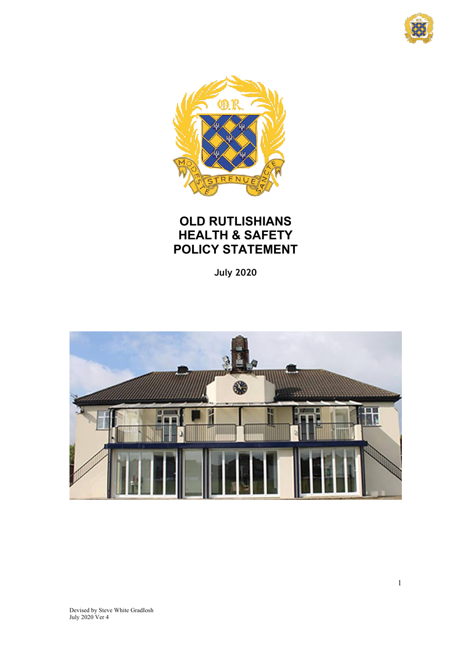



# **OLD RUTLISHIANS HEALTH & SAFETY POLICY STATEMENT**

**July 2020**

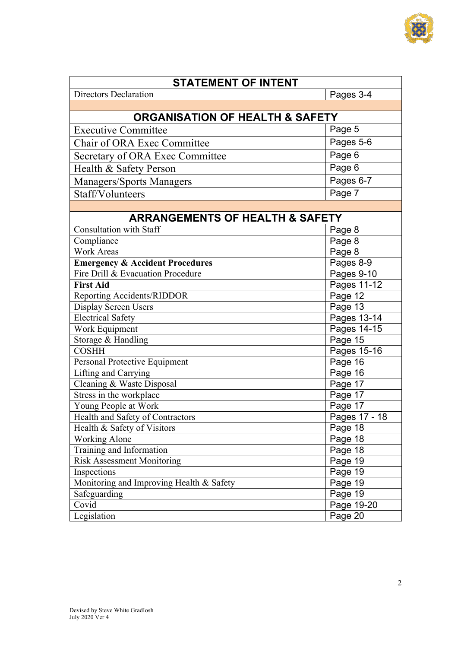

| <b>STATEMENT OF INTENT</b>                 |               |  |  |  |
|--------------------------------------------|---------------|--|--|--|
| <b>Directors Declaration</b>               | Pages 3-4     |  |  |  |
|                                            |               |  |  |  |
| <b>ORGANISATION OF HEALTH &amp; SAFETY</b> |               |  |  |  |
| <b>Executive Committee</b>                 | Page 5        |  |  |  |
| Chair of ORA Exec Committee                | Pages 5-6     |  |  |  |
| Secretary of ORA Exec Committee            | Page 6        |  |  |  |
| Health & Safety Person                     | Page 6        |  |  |  |
| <b>Managers/Sports Managers</b>            | Pages 6-7     |  |  |  |
| Staff/Volunteers                           | Page 7        |  |  |  |
|                                            |               |  |  |  |
| <b>ARRANGEMENTS OF HEALTH &amp; SAFETY</b> |               |  |  |  |
| <b>Consultation with Staff</b>             | Page 8        |  |  |  |
| Compliance                                 | Page 8        |  |  |  |
| <b>Work Areas</b>                          | Page 8        |  |  |  |
| <b>Emergency &amp; Accident Procedures</b> | Pages 8-9     |  |  |  |
| Fire Drill & Evacuation Procedure          | Pages 9-10    |  |  |  |
| <b>First Aid</b>                           | Pages 11-12   |  |  |  |
| Reporting Accidents/RIDDOR                 | Page 12       |  |  |  |
| Display Screen Users                       | Page 13       |  |  |  |
| <b>Electrical Safety</b>                   | Pages 13-14   |  |  |  |
| Work Equipment                             | Pages 14-15   |  |  |  |
| Storage & Handling                         | Page 15       |  |  |  |
| <b>COSHH</b>                               | Pages 15-16   |  |  |  |
| Personal Protective Equipment              | Page 16       |  |  |  |
| Lifting and Carrying                       | Page 16       |  |  |  |
| Cleaning & Waste Disposal                  | Page 17       |  |  |  |
| Stress in the workplace                    | Page 17       |  |  |  |
| Young People at Work                       | Page 17       |  |  |  |
| Health and Safety of Contractors           | Pages 17 - 18 |  |  |  |
| Health & Safety of Visitors                | Page 18       |  |  |  |
| <b>Working Alone</b>                       | Page 18       |  |  |  |
| Training and Information                   | Page 18       |  |  |  |
| <b>Risk Assessment Monitoring</b>          | Page 19       |  |  |  |
| Inspections                                | Page 19       |  |  |  |
| Monitoring and Improving Health & Safety   | Page 19       |  |  |  |
| Safeguarding                               | Page 19       |  |  |  |
| Covid                                      | Page 19-20    |  |  |  |
| Legislation                                | Page 20       |  |  |  |
|                                            |               |  |  |  |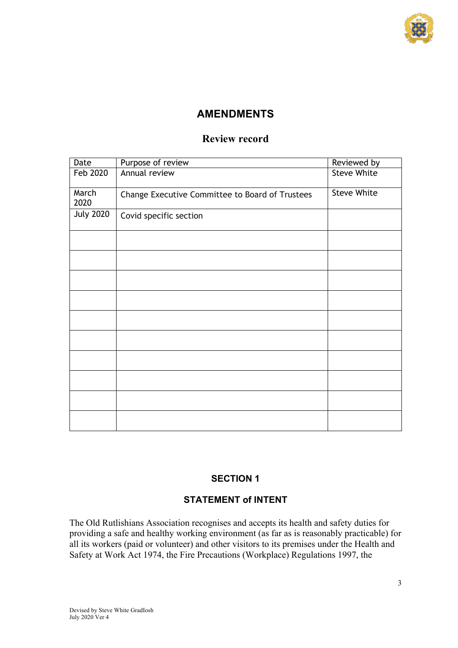

## **AMENDMENTS**

## **Review record**

| Date             | Purpose of review                               | Reviewed by        |
|------------------|-------------------------------------------------|--------------------|
| Feb 2020         | Annual review                                   | <b>Steve White</b> |
| March<br>2020    | Change Executive Committee to Board of Trustees | <b>Steve White</b> |
| <b>July 2020</b> | Covid specific section                          |                    |
|                  |                                                 |                    |
|                  |                                                 |                    |
|                  |                                                 |                    |
|                  |                                                 |                    |
|                  |                                                 |                    |
|                  |                                                 |                    |
|                  |                                                 |                    |
|                  |                                                 |                    |
|                  |                                                 |                    |
|                  |                                                 |                    |

## **SECTION 1**

## **STATEMENT of INTENT**

The Old Rutlishians Association recognises and accepts its health and safety duties for providing a safe and healthy working environment (as far as is reasonably practicable) for all its workers (paid or volunteer) and other visitors to its premises under the Health and Safety at Work Act 1974, the Fire Precautions (Workplace) Regulations 1997, the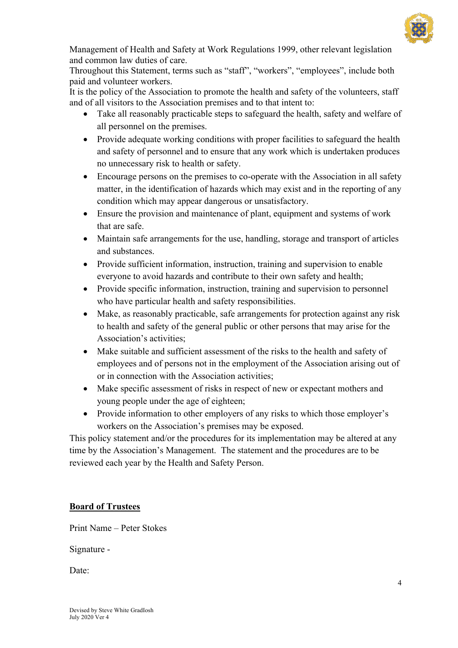

Management of Health and Safety at Work Regulations 1999, other relevant legislation and common law duties of care.

Throughout this Statement, terms such as "staff", "workers", "employees", include both paid and volunteer workers.

It is the policy of the Association to promote the health and safety of the volunteers, staff and of all visitors to the Association premises and to that intent to:

- Take all reasonably practicable steps to safeguard the health, safety and welfare of all personnel on the premises.
- Provide adequate working conditions with proper facilities to safeguard the health and safety of personnel and to ensure that any work which is undertaken produces no unnecessary risk to health or safety.
- Encourage persons on the premises to co-operate with the Association in all safety matter, in the identification of hazards which may exist and in the reporting of any condition which may appear dangerous or unsatisfactory.
- Ensure the provision and maintenance of plant, equipment and systems of work that are safe.
- Maintain safe arrangements for the use, handling, storage and transport of articles and substances.
- Provide sufficient information, instruction, training and supervision to enable everyone to avoid hazards and contribute to their own safety and health;
- Provide specific information, instruction, training and supervision to personnel who have particular health and safety responsibilities.
- Make, as reasonably practicable, safe arrangements for protection against any risk to health and safety of the general public or other persons that may arise for the Association's activities;
- Make suitable and sufficient assessment of the risks to the health and safety of employees and of persons not in the employment of the Association arising out of or in connection with the Association activities;
- Make specific assessment of risks in respect of new or expectant mothers and young people under the age of eighteen;
- Provide information to other employers of any risks to which those employer's workers on the Association's premises may be exposed.

This policy statement and/or the procedures for its implementation may be altered at any time by the Association's Management. The statement and the procedures are to be reviewed each year by the Health and Safety Person.

## **Board of Trustees**

Print Name – Peter Stokes

Signature -

Date: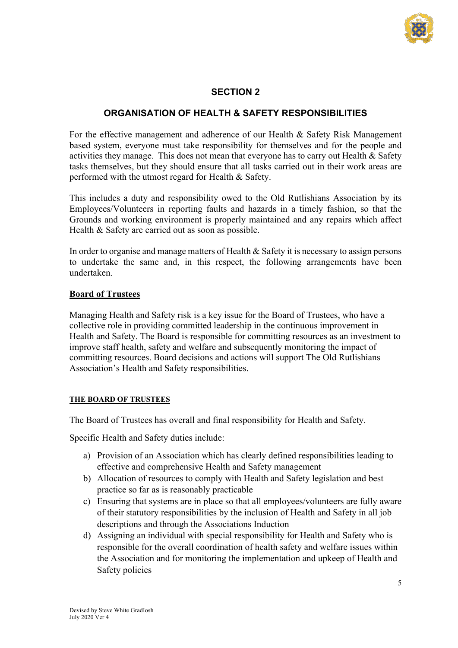

## **SECTION 2**

## **ORGANISATION OF HEALTH & SAFETY RESPONSIBILITIES**

For the effective management and adherence of our Health & Safety Risk Management based system, everyone must take responsibility for themselves and for the people and activities they manage. This does not mean that everyone has to carry out Health & Safety tasks themselves, but they should ensure that all tasks carried out in their work areas are performed with the utmost regard for Health & Safety.

This includes a duty and responsibility owed to the Old Rutlishians Association by its Employees/Volunteers in reporting faults and hazards in a timely fashion, so that the Grounds and working environment is properly maintained and any repairs which affect Health & Safety are carried out as soon as possible.

In order to organise and manage matters of Health & Safety it is necessary to assign persons to undertake the same and, in this respect, the following arrangements have been undertaken.

## **Board of Trustees**

Managing Health and Safety risk is a key issue for the Board of Trustees, who have a collective role in providing committed leadership in the continuous improvement in Health and Safety. The Board is responsible for committing resources as an investment to improve staff health, safety and welfare and subsequently monitoring the impact of committing resources. Board decisions and actions will support The Old Rutlishians Association's Health and Safety responsibilities.

## **THE BOARD OF TRUSTEES**

The Board of Trustees has overall and final responsibility for Health and Safety.

Specific Health and Safety duties include:

- a) Provision of an Association which has clearly defined responsibilities leading to effective and comprehensive Health and Safety management
- b) Allocation of resources to comply with Health and Safety legislation and best practice so far as is reasonably practicable
- c) Ensuring that systems are in place so that all employees/volunteers are fully aware of their statutory responsibilities by the inclusion of Health and Safety in all job descriptions and through the Associations Induction
- d) Assigning an individual with special responsibility for Health and Safety who is responsible for the overall coordination of health safety and welfare issues within the Association and for monitoring the implementation and upkeep of Health and Safety policies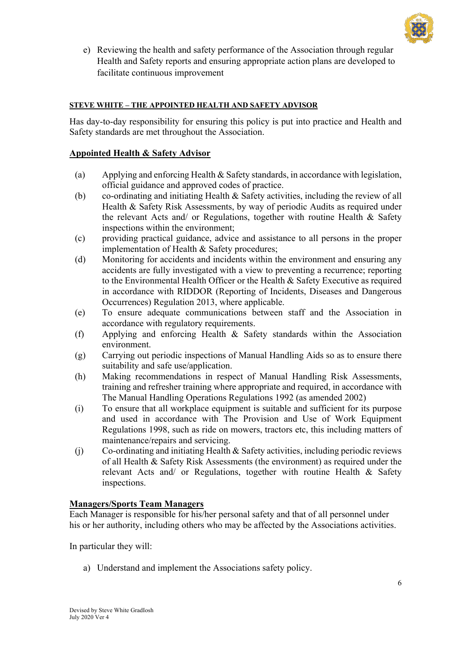

e) Reviewing the health and safety performance of the Association through regular Health and Safety reports and ensuring appropriate action plans are developed to facilitate continuous improvement

## **STEVE WHITE – THE APPOINTED HEALTH AND SAFETY ADVISOR**

Has day-to-day responsibility for ensuring this policy is put into practice and Health and Safety standards are met throughout the Association.

## **Appointed Health & Safety Advisor**

- (a) Applying and enforcing Health & Safety standards, in accordance with legislation, official guidance and approved codes of practice.
- (b) co-ordinating and initiating Health & Safety activities, including the review of all Health & Safety Risk Assessments, by way of periodic Audits as required under the relevant Acts and/ or Regulations, together with routine Health & Safety inspections within the environment;
- (c) providing practical guidance, advice and assistance to all persons in the proper implementation of Health & Safety procedures;
- (d) Monitoring for accidents and incidents within the environment and ensuring any accidents are fully investigated with a view to preventing a recurrence; reporting to the Environmental Health Officer or the Health & Safety Executive as required in accordance with RIDDOR (Reporting of Incidents, Diseases and Dangerous Occurrences) Regulation 2013, where applicable.
- (e) To ensure adequate communications between staff and the Association in accordance with regulatory requirements.
- (f) Applying and enforcing Health & Safety standards within the Association environment.
- (g) Carrying out periodic inspections of Manual Handling Aids so as to ensure there suitability and safe use/application.
- (h) Making recommendations in respect of Manual Handling Risk Assessments, training and refresher training where appropriate and required, in accordance with The Manual Handling Operations Regulations 1992 (as amended 2002)
- (i) To ensure that all workplace equipment is suitable and sufficient for its purpose and used in accordance with The Provision and Use of Work Equipment Regulations 1998, such as ride on mowers, tractors etc, this including matters of maintenance/repairs and servicing.
- $(i)$  Co-ordinating and initiating Health & Safety activities, including periodic reviews of all Health & Safety Risk Assessments (the environment) as required under the relevant Acts and/ or Regulations, together with routine Health & Safety inspections.

## **Managers/Sports Team Managers**

Each Manager is responsible for his/her personal safety and that of all personnel under his or her authority, including others who may be affected by the Associations activities.

In particular they will:

a) Understand and implement the Associations safety policy.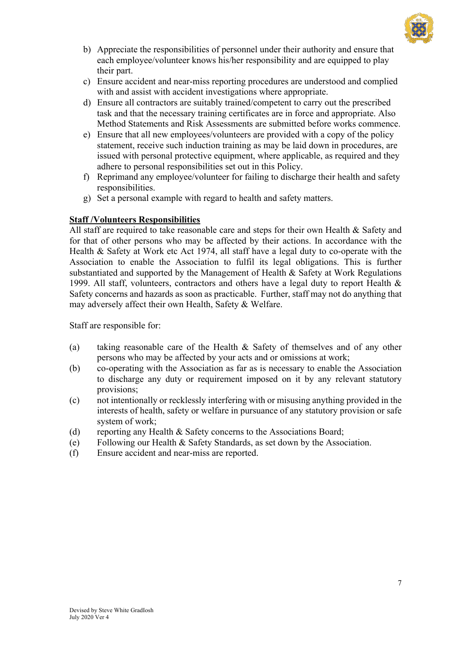

- b) Appreciate the responsibilities of personnel under their authority and ensure that each employee/volunteer knows his/her responsibility and are equipped to play their part.
- c) Ensure accident and near-miss reporting procedures are understood and complied with and assist with accident investigations where appropriate.
- d) Ensure all contractors are suitably trained/competent to carry out the prescribed task and that the necessary training certificates are in force and appropriate. Also Method Statements and Risk Assessments are submitted before works commence.
- e) Ensure that all new employees/volunteers are provided with a copy of the policy statement, receive such induction training as may be laid down in procedures, are issued with personal protective equipment, where applicable, as required and they adhere to personal responsibilities set out in this Policy.
- f) Reprimand any employee/volunteer for failing to discharge their health and safety responsibilities.
- g) Set a personal example with regard to health and safety matters.

## **Staff /Volunteers Responsibilities**

All staff are required to take reasonable care and steps for their own Health & Safety and for that of other persons who may be affected by their actions. In accordance with the Health & Safety at Work etc Act 1974, all staff have a legal duty to co-operate with the Association to enable the Association to fulfil its legal obligations. This is further substantiated and supported by the Management of Health & Safety at Work Regulations 1999. All staff, volunteers, contractors and others have a legal duty to report Health & Safety concerns and hazards as soon as practicable. Further, staff may not do anything that may adversely affect their own Health, Safety & Welfare.

Staff are responsible for:

- (a) taking reasonable care of the Health & Safety of themselves and of any other persons who may be affected by your acts and or omissions at work;
- (b) co-operating with the Association as far as is necessary to enable the Association to discharge any duty or requirement imposed on it by any relevant statutory provisions;
- (c) not intentionally or recklessly interfering with or misusing anything provided in the interests of health, safety or welfare in pursuance of any statutory provision or safe system of work;
- (d) reporting any Health & Safety concerns to the Associations Board;
- (e) Following our Health & Safety Standards, as set down by the Association.
- (f) Ensure accident and near-miss are reported.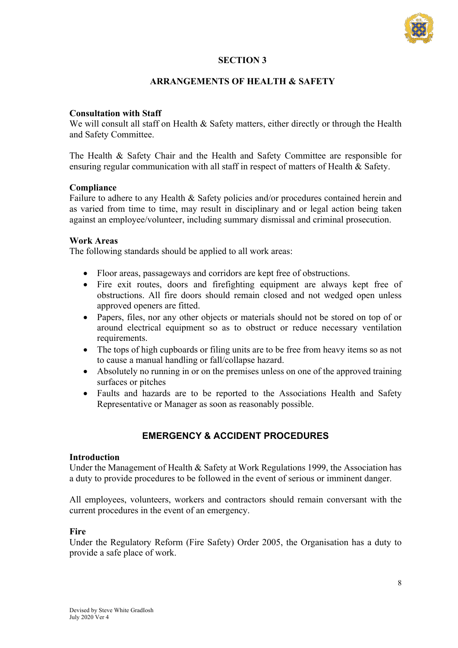

## **SECTION 3**

## **ARRANGEMENTS OF HEALTH & SAFETY**

## **Consultation with Staff**

We will consult all staff on Health & Safety matters, either directly or through the Health and Safety Committee.

The Health & Safety Chair and the Health and Safety Committee are responsible for ensuring regular communication with all staff in respect of matters of Health & Safety.

## **Compliance**

Failure to adhere to any Health & Safety policies and/or procedures contained herein and as varied from time to time, may result in disciplinary and or legal action being taken against an employee/volunteer, including summary dismissal and criminal prosecution.

## **Work Areas**

The following standards should be applied to all work areas:

- Floor areas, passageways and corridors are kept free of obstructions.
- Fire exit routes, doors and firefighting equipment are always kept free of obstructions. All fire doors should remain closed and not wedged open unless approved openers are fitted.
- Papers, files, nor any other objects or materials should not be stored on top of or around electrical equipment so as to obstruct or reduce necessary ventilation requirements.
- The tops of high cupboards or filing units are to be free from heavy items so as not to cause a manual handling or fall/collapse hazard.
- Absolutely no running in or on the premises unless on one of the approved training surfaces or pitches
- Faults and hazards are to be reported to the Associations Health and Safety Representative or Manager as soon as reasonably possible.

## **EMERGENCY & ACCIDENT PROCEDURES**

## **Introduction**

Under the Management of Health & Safety at Work Regulations 1999, the Association has a duty to provide procedures to be followed in the event of serious or imminent danger.

All employees, volunteers, workers and contractors should remain conversant with the current procedures in the event of an emergency.

## **Fire**

Under the Regulatory Reform (Fire Safety) Order 2005, the Organisation has a duty to provide a safe place of work.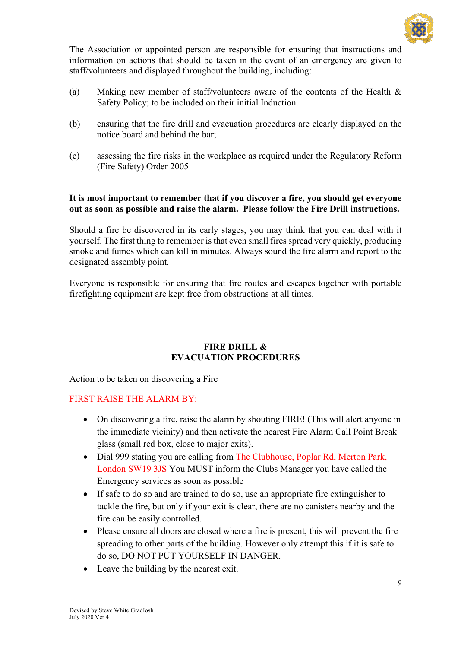

The Association or appointed person are responsible for ensuring that instructions and information on actions that should be taken in the event of an emergency are given to staff/volunteers and displayed throughout the building, including:

- (a) Making new member of staff/volunteers aware of the contents of the Health & Safety Policy; to be included on their initial Induction.
- (b) ensuring that the fire drill and evacuation procedures are clearly displayed on the notice board and behind the bar;
- (c) assessing the fire risks in the workplace as required under the Regulatory Reform (Fire Safety) Order 2005

## **It is most important to remember that if you discover a fire, you should get everyone out as soon as possible and raise the alarm. Please follow the Fire Drill instructions.**

Should a fire be discovered in its early stages, you may think that you can deal with it yourself. The first thing to remember is that even small fires spread very quickly, producing smoke and fumes which can kill in minutes. Always sound the fire alarm and report to the designated assembly point.

Everyone is responsible for ensuring that fire routes and escapes together with portable firefighting equipment are kept free from obstructions at all times.

## **FIRE DRILL & EVACUATION PROCEDURES**

Action to be taken on discovering a Fire

FIRST RAISE THE ALARM BY:

- On discovering a fire, raise the alarm by shouting FIRE! (This will alert anyone in the immediate vicinity) and then activate the nearest Fire Alarm Call Point Break glass (small red box, close to major exits).
- Dial 999 stating you are calling from The Clubhouse, Poplar Rd, Merton Park, London SW19 3JS You MUST inform the Clubs Manager you have called the Emergency services as soon as possible
- If safe to do so and are trained to do so, use an appropriate fire extinguisher to tackle the fire, but only if your exit is clear, there are no canisters nearby and the fire can be easily controlled.
- Please ensure all doors are closed where a fire is present, this will prevent the fire spreading to other parts of the building. However only attempt this if it is safe to do so, DO NOT PUT YOURSELF IN DANGER.
- Leave the building by the nearest exit.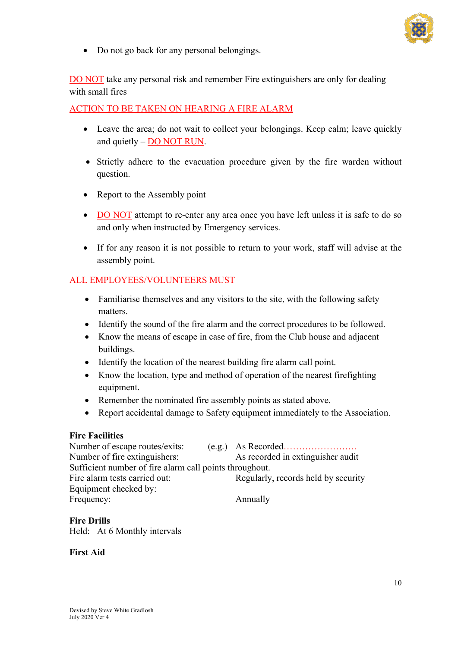

• Do not go back for any personal belongings.

DO NOT take any personal risk and remember Fire extinguishers are only for dealing with small fires

## ACTION TO BE TAKEN ON HEARING A FIRE ALARM

- Leave the area; do not wait to collect your belongings. Keep calm; leave quickly and quietly – DO NOT RUN.
- Strictly adhere to the evacuation procedure given by the fire warden without question.
- Report to the Assembly point
- DO NOT attempt to re-enter any area once you have left unless it is safe to do so and only when instructed by Emergency services.
- If for any reason it is not possible to return to your work, staff will advise at the assembly point.

## ALL EMPLOYEES/VOLUNTEERS MUST

- Familiarise themselves and any visitors to the site, with the following safety matters.
- Identify the sound of the fire alarm and the correct procedures to be followed.
- Know the means of escape in case of fire, from the Club house and adjacent buildings.
- Identify the location of the nearest building fire alarm call point.
- Know the location, type and method of operation of the nearest firefighting equipment.
- Remember the nominated fire assembly points as stated above.
- Report accidental damage to Safety equipment immediately to the Association.

## **Fire Facilities**

| Number of escape routes/exits:                          |                                     |
|---------------------------------------------------------|-------------------------------------|
| Number of fire extinguishers:                           | As recorded in extinguisher audit   |
| Sufficient number of fire alarm call points throughout. |                                     |
| Fire alarm tests carried out:                           | Regularly, records held by security |
| Equipment checked by:                                   |                                     |
| Frequency:                                              | Annually                            |

## **Fire Drills**

Held: At 6 Monthly intervals

## **First Aid**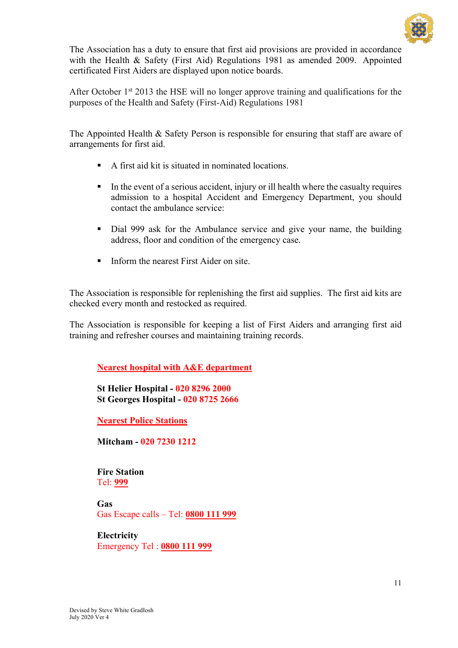

The Association has a duty to ensure that first aid provisions are provided in accordance with the Health & Safety (First Aid) Regulations 1981 as amended 2009. Appointed certificated First Aiders are displayed upon notice boards.

After October 1<sup>st</sup> 2013 the HSE will no longer approve training and qualifications for the purposes of the Health and Safety (First-Aid) Regulations 1981

The Appointed Health & Safety Person is responsible for ensuring that staff are aware of arrangements for first aid.

- § A first aid kit is situated in nominated locations.
- In the event of a serious accident, injury or ill health where the casualty requires admission to a hospital Accident and Emergency Department, you should contact the ambulance service:
- Dial 999 ask for the Ambulance service and give your name, the building address, floor and condition of the emergency case.
- Inform the nearest First Aider on site.

The Association is responsible for replenishing the first aid supplies. The first aid kits are checked every month and restocked as required.

The Association is responsible for keeping a list of First Aiders and arranging first aid training and refresher courses and maintaining training records.

**Nearest hospital with A&E department**

 **St Helier Hospital - 020 8296 2000 St Georges Hospital - 020 8725 2666**

**Nearest Police Stations**

 **Mitcham - 020 7230 1212**

 **Fire Station**  Tel: **999**

**Gas** Gas Escape calls – Tel: **0800 111 999**

**Electricity** Emergency Tel : **0800 111 999**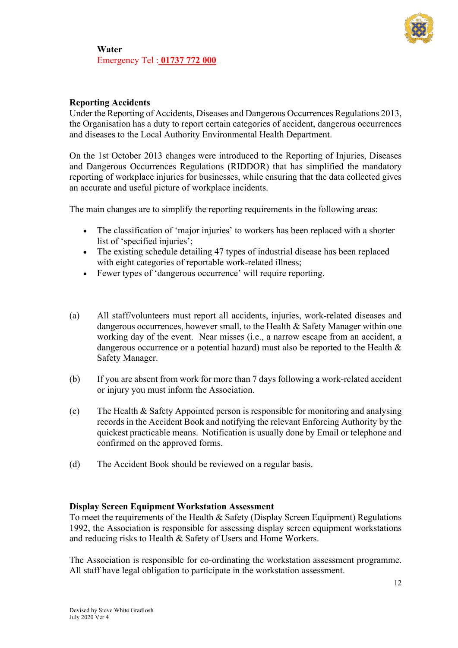

**Water**  Emergency Tel : **01737 772 000**

## **Reporting Accidents**

Under the Reporting of Accidents, Diseases and Dangerous Occurrences Regulations 2013, the Organisation has a duty to report certain categories of accident, dangerous occurrences and diseases to the Local Authority Environmental Health Department.

On the 1st October 2013 changes were introduced to the Reporting of Injuries, Diseases and Dangerous Occurrences Regulations (RIDDOR) that has simplified the mandatory reporting of workplace injuries for businesses, while ensuring that the data collected gives an accurate and useful picture of workplace incidents.

The main changes are to simplify the reporting requirements in the following areas:

- The classification of 'major injuries' to workers has been replaced with a shorter list of 'specified injuries';
- The existing schedule detailing 47 types of industrial disease has been replaced with eight categories of reportable work-related illness;
- Fewer types of 'dangerous occurrence' will require reporting.
- (a) All staff/volunteers must report all accidents, injuries, work-related diseases and dangerous occurrences, however small, to the Health & Safety Manager within one working day of the event. Near misses (i.e., a narrow escape from an accident, a dangerous occurrence or a potential hazard) must also be reported to the Health  $\&$ Safety Manager.
- (b) If you are absent from work for more than 7 days following a work-related accident or injury you must inform the Association.
- (c) The Health & Safety Appointed person is responsible for monitoring and analysing records in the Accident Book and notifying the relevant Enforcing Authority by the quickest practicable means. Notification is usually done by Email or telephone and confirmed on the approved forms.
- (d) The Accident Book should be reviewed on a regular basis.

## **Display Screen Equipment Workstation Assessment**

To meet the requirements of the Health & Safety (Display Screen Equipment) Regulations 1992, the Association is responsible for assessing display screen equipment workstations and reducing risks to Health & Safety of Users and Home Workers.

The Association is responsible for co-ordinating the workstation assessment programme. All staff have legal obligation to participate in the workstation assessment.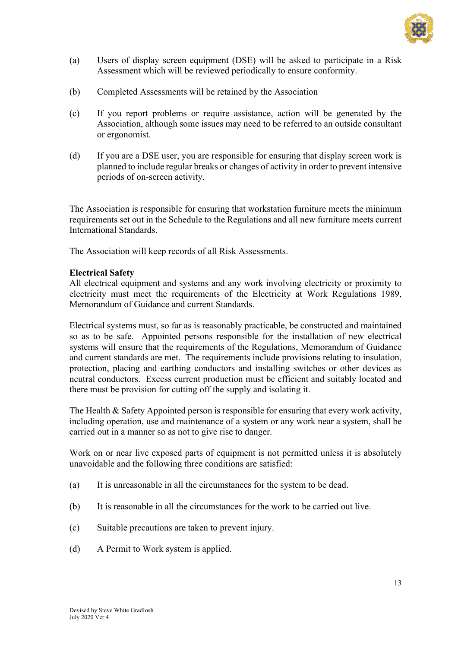

- (a) Users of display screen equipment (DSE) will be asked to participate in a Risk Assessment which will be reviewed periodically to ensure conformity.
- (b) Completed Assessments will be retained by the Association
- (c) If you report problems or require assistance, action will be generated by the Association, although some issues may need to be referred to an outside consultant or ergonomist.
- (d) If you are a DSE user, you are responsible for ensuring that display screen work is planned to include regular breaks or changes of activity in order to prevent intensive periods of on-screen activity.

The Association is responsible for ensuring that workstation furniture meets the minimum requirements set out in the Schedule to the Regulations and all new furniture meets current International Standards.

The Association will keep records of all Risk Assessments.

## **Electrical Safety**

All electrical equipment and systems and any work involving electricity or proximity to electricity must meet the requirements of the Electricity at Work Regulations 1989, Memorandum of Guidance and current Standards.

Electrical systems must, so far as is reasonably practicable, be constructed and maintained so as to be safe. Appointed persons responsible for the installation of new electrical systems will ensure that the requirements of the Regulations, Memorandum of Guidance and current standards are met. The requirements include provisions relating to insulation, protection, placing and earthing conductors and installing switches or other devices as neutral conductors. Excess current production must be efficient and suitably located and there must be provision for cutting off the supply and isolating it.

The Health & Safety Appointed person is responsible for ensuring that every work activity, including operation, use and maintenance of a system or any work near a system, shall be carried out in a manner so as not to give rise to danger.

Work on or near live exposed parts of equipment is not permitted unless it is absolutely unavoidable and the following three conditions are satisfied:

- (a) It is unreasonable in all the circumstances for the system to be dead.
- (b) It is reasonable in all the circumstances for the work to be carried out live.
- (c) Suitable precautions are taken to prevent injury.
- (d) A Permit to Work system is applied.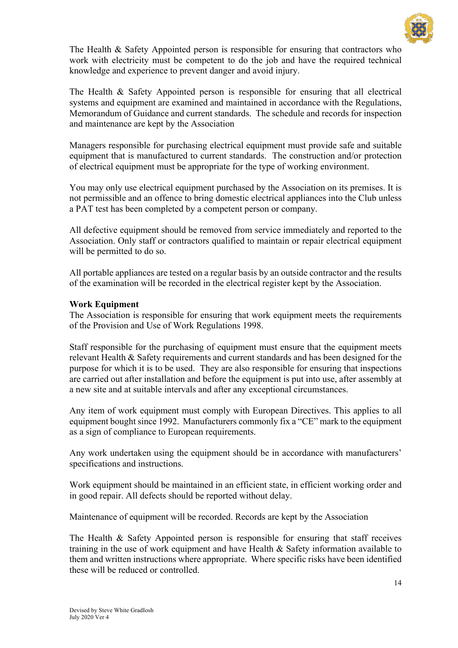

The Health  $\&$  Safety Appointed person is responsible for ensuring that contractors who work with electricity must be competent to do the job and have the required technical knowledge and experience to prevent danger and avoid injury.

The Health & Safety Appointed person is responsible for ensuring that all electrical systems and equipment are examined and maintained in accordance with the Regulations, Memorandum of Guidance and current standards. The schedule and records for inspection and maintenance are kept by the Association

Managers responsible for purchasing electrical equipment must provide safe and suitable equipment that is manufactured to current standards. The construction and/or protection of electrical equipment must be appropriate for the type of working environment.

You may only use electrical equipment purchased by the Association on its premises. It is not permissible and an offence to bring domestic electrical appliances into the Club unless a PAT test has been completed by a competent person or company.

All defective equipment should be removed from service immediately and reported to the Association. Only staff or contractors qualified to maintain or repair electrical equipment will be permitted to do so.

All portable appliances are tested on a regular basis by an outside contractor and the results of the examination will be recorded in the electrical register kept by the Association.

## **Work Equipment**

The Association is responsible for ensuring that work equipment meets the requirements of the Provision and Use of Work Regulations 1998.

Staff responsible for the purchasing of equipment must ensure that the equipment meets relevant Health & Safety requirements and current standards and has been designed for the purpose for which it is to be used. They are also responsible for ensuring that inspections are carried out after installation and before the equipment is put into use, after assembly at a new site and at suitable intervals and after any exceptional circumstances.

Any item of work equipment must comply with European Directives. This applies to all equipment bought since 1992. Manufacturers commonly fix a "CE" mark to the equipment as a sign of compliance to European requirements.

Any work undertaken using the equipment should be in accordance with manufacturers' specifications and instructions.

Work equipment should be maintained in an efficient state, in efficient working order and in good repair. All defects should be reported without delay.

Maintenance of equipment will be recorded. Records are kept by the Association

The Health & Safety Appointed person is responsible for ensuring that staff receives training in the use of work equipment and have Health & Safety information available to them and written instructions where appropriate. Where specific risks have been identified these will be reduced or controlled.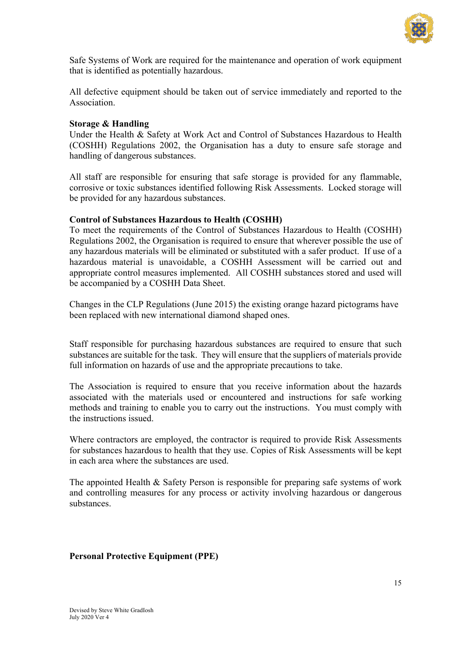

Safe Systems of Work are required for the maintenance and operation of work equipment that is identified as potentially hazardous.

All defective equipment should be taken out of service immediately and reported to the Association.

## **Storage & Handling**

Under the Health & Safety at Work Act and Control of Substances Hazardous to Health (COSHH) Regulations 2002, the Organisation has a duty to ensure safe storage and handling of dangerous substances.

All staff are responsible for ensuring that safe storage is provided for any flammable, corrosive or toxic substances identified following Risk Assessments. Locked storage will be provided for any hazardous substances.

## **Control of Substances Hazardous to Health (COSHH)**

To meet the requirements of the Control of Substances Hazardous to Health (COSHH) Regulations 2002, the Organisation is required to ensure that wherever possible the use of any hazardous materials will be eliminated or substituted with a safer product. If use of a hazardous material is unavoidable, a COSHH Assessment will be carried out and appropriate control measures implemented. All COSHH substances stored and used will be accompanied by a COSHH Data Sheet.

Changes in the CLP Regulations (June 2015) the existing orange hazard pictograms have been replaced with new international diamond shaped ones.

Staff responsible for purchasing hazardous substances are required to ensure that such substances are suitable for the task. They will ensure that the suppliers of materials provide full information on hazards of use and the appropriate precautions to take.

The Association is required to ensure that you receive information about the hazards associated with the materials used or encountered and instructions for safe working methods and training to enable you to carry out the instructions. You must comply with the instructions issued.

Where contractors are employed, the contractor is required to provide Risk Assessments for substances hazardous to health that they use. Copies of Risk Assessments will be kept in each area where the substances are used.

The appointed Health & Safety Person is responsible for preparing safe systems of work and controlling measures for any process or activity involving hazardous or dangerous substances.

## **Personal Protective Equipment (PPE)**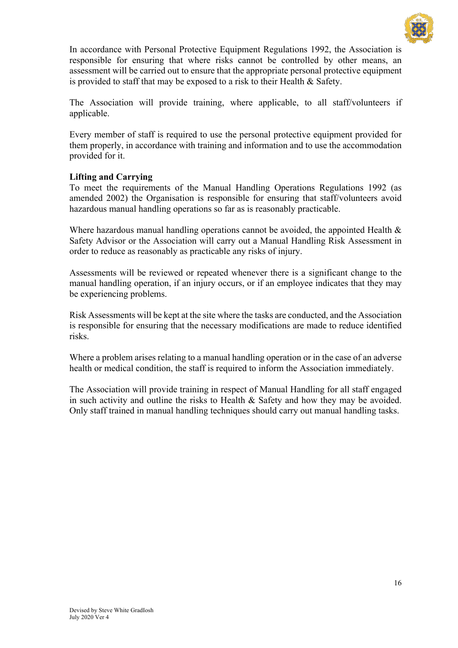

In accordance with Personal Protective Equipment Regulations 1992, the Association is responsible for ensuring that where risks cannot be controlled by other means, an assessment will be carried out to ensure that the appropriate personal protective equipment is provided to staff that may be exposed to a risk to their Health & Safety.

The Association will provide training, where applicable, to all staff/volunteers if applicable.

Every member of staff is required to use the personal protective equipment provided for them properly, in accordance with training and information and to use the accommodation provided for it.

## **Lifting and Carrying**

To meet the requirements of the Manual Handling Operations Regulations 1992 (as amended 2002) the Organisation is responsible for ensuring that staff/volunteers avoid hazardous manual handling operations so far as is reasonably practicable.

Where hazardous manual handling operations cannot be avoided, the appointed Health & Safety Advisor or the Association will carry out a Manual Handling Risk Assessment in order to reduce as reasonably as practicable any risks of injury.

Assessments will be reviewed or repeated whenever there is a significant change to the manual handling operation, if an injury occurs, or if an employee indicates that they may be experiencing problems.

Risk Assessments will be kept at the site where the tasks are conducted, and the Association is responsible for ensuring that the necessary modifications are made to reduce identified risks.

Where a problem arises relating to a manual handling operation or in the case of an adverse health or medical condition, the staff is required to inform the Association immediately.

The Association will provide training in respect of Manual Handling for all staff engaged in such activity and outline the risks to Health & Safety and how they may be avoided. Only staff trained in manual handling techniques should carry out manual handling tasks.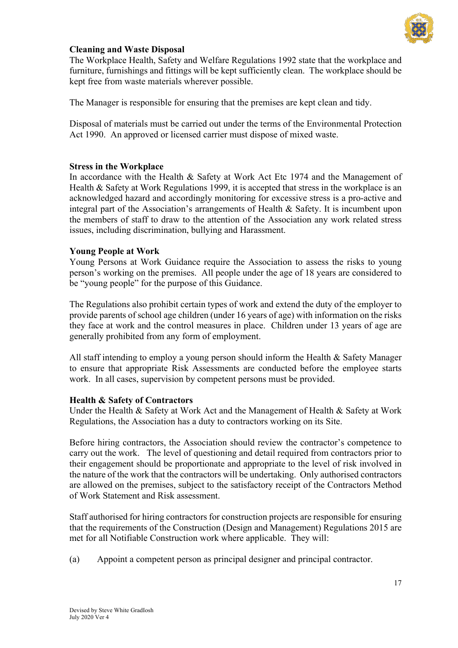

## **Cleaning and Waste Disposal**

The Workplace Health, Safety and Welfare Regulations 1992 state that the workplace and furniture, furnishings and fittings will be kept sufficiently clean. The workplace should be kept free from waste materials wherever possible.

The Manager is responsible for ensuring that the premises are kept clean and tidy.

Disposal of materials must be carried out under the terms of the Environmental Protection Act 1990. An approved or licensed carrier must dispose of mixed waste.

## **Stress in the Workplace**

In accordance with the Health & Safety at Work Act Etc 1974 and the Management of Health & Safety at Work Regulations 1999, it is accepted that stress in the workplace is an acknowledged hazard and accordingly monitoring for excessive stress is a pro-active and integral part of the Association's arrangements of Health & Safety. It is incumbent upon the members of staff to draw to the attention of the Association any work related stress issues, including discrimination, bullying and Harassment.

## **Young People at Work**

Young Persons at Work Guidance require the Association to assess the risks to young person's working on the premises. All people under the age of 18 years are considered to be "young people" for the purpose of this Guidance.

The Regulations also prohibit certain types of work and extend the duty of the employer to provide parents of school age children (under 16 years of age) with information on the risks they face at work and the control measures in place. Children under 13 years of age are generally prohibited from any form of employment.

All staff intending to employ a young person should inform the Health & Safety Manager to ensure that appropriate Risk Assessments are conducted before the employee starts work. In all cases, supervision by competent persons must be provided.

## **Health & Safety of Contractors**

Under the Health & Safety at Work Act and the Management of Health & Safety at Work Regulations, the Association has a duty to contractors working on its Site.

Before hiring contractors, the Association should review the contractor's competence to carry out the work. The level of questioning and detail required from contractors prior to their engagement should be proportionate and appropriate to the level of risk involved in the nature of the work that the contractors will be undertaking. Only authorised contractors are allowed on the premises, subject to the satisfactory receipt of the Contractors Method of Work Statement and Risk assessment.

Staff authorised for hiring contractors for construction projects are responsible for ensuring that the requirements of the Construction (Design and Management) Regulations 2015 are met for all Notifiable Construction work where applicable. They will:

(a) Appoint a competent person as principal designer and principal contractor.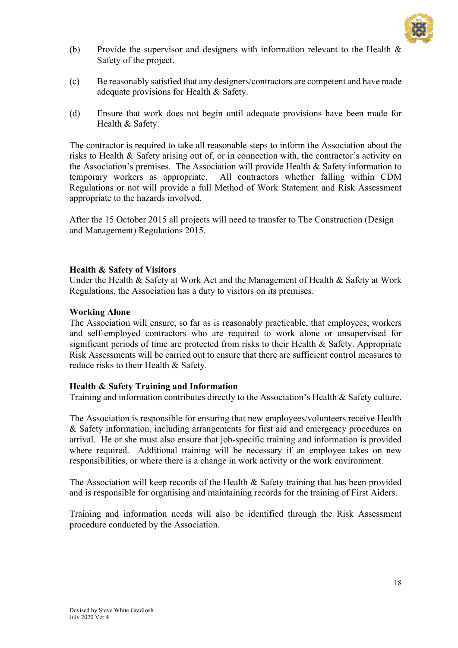

- (b) Provide the supervisor and designers with information relevant to the Health & Safety of the project.
- (c) Be reasonably satisfied that any designers/contractors are competent and have made adequate provisions for Health & Safety.
- (d) Ensure that work does not begin until adequate provisions have been made for Health & Safety.

The contractor is required to take all reasonable steps to inform the Association about the risks to Health & Safety arising out of, or in connection with, the contractor's activity on the Association's premises. The Association will provide Health & Safety information to temporary workers as appropriate. All contractors whether falling within CDM Regulations or not will provide a full Method of Work Statement and Risk Assessment appropriate to the hazards involved.

After the 15 October 2015 all projects will need to transfer to The Construction (Design and Management) Regulations 2015.

## **Health & Safety of Visitors**

Under the Health & Safety at Work Act and the Management of Health & Safety at Work Regulations, the Association has a duty to visitors on its premises.

#### **Working Alone**

The Association will ensure, so far as is reasonably practicable, that employees, workers and self-employed contractors who are required to work alone or unsupervised for significant periods of time are protected from risks to their Health & Safety. Appropriate Risk Assessments will be carried out to ensure that there are sufficient control measures to reduce risks to their Health & Safety.

## **Health & Safety Training and Information**

Training and information contributes directly to the Association's Health & Safety culture.

The Association is responsible for ensuring that new employees/volunteers receive Health & Safety information, including arrangements for first aid and emergency procedures on arrival. He or she must also ensure that job-specific training and information is provided where required. Additional training will be necessary if an employee takes on new responsibilities, or where there is a change in work activity or the work environment.

The Association will keep records of the Health & Safety training that has been provided and is responsible for organising and maintaining records for the training of First Aiders.

Training and information needs will also be identified through the Risk Assessment procedure conducted by the Association.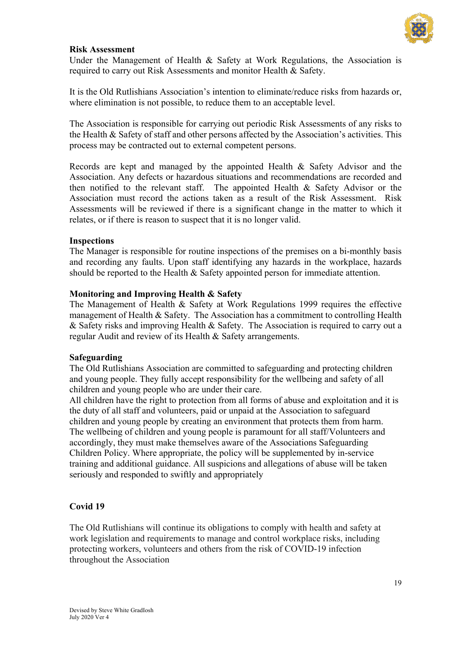

## **Risk Assessment**

Under the Management of Health  $\&$  Safety at Work Regulations, the Association is required to carry out Risk Assessments and monitor Health & Safety.

It is the Old Rutlishians Association's intention to eliminate/reduce risks from hazards or, where elimination is not possible, to reduce them to an acceptable level.

The Association is responsible for carrying out periodic Risk Assessments of any risks to the Health & Safety of staff and other persons affected by the Association's activities. This process may be contracted out to external competent persons.

Records are kept and managed by the appointed Health & Safety Advisor and the Association. Any defects or hazardous situations and recommendations are recorded and then notified to the relevant staff. The appointed Health & Safety Advisor or the Association must record the actions taken as a result of the Risk Assessment. Risk Assessments will be reviewed if there is a significant change in the matter to which it relates, or if there is reason to suspect that it is no longer valid.

## **Inspections**

The Manager is responsible for routine inspections of the premises on a bi-monthly basis and recording any faults. Upon staff identifying any hazards in the workplace, hazards should be reported to the Health & Safety appointed person for immediate attention.

## **Monitoring and Improving Health & Safety**

The Management of Health & Safety at Work Regulations 1999 requires the effective management of Health & Safety. The Association has a commitment to controlling Health & Safety risks and improving Health & Safety. The Association is required to carry out a regular Audit and review of its Health & Safety arrangements.

## **Safeguarding**

The Old Rutlishians Association are committed to safeguarding and protecting children and young people. They fully accept responsibility for the wellbeing and safety of all children and young people who are under their care.

All children have the right to protection from all forms of abuse and exploitation and it is the duty of all staff and volunteers, paid or unpaid at the Association to safeguard children and young people by creating an environment that protects them from harm. The wellbeing of children and young people is paramount for all staff/Volunteers and accordingly, they must make themselves aware of the Associations Safeguarding Children Policy. Where appropriate, the policy will be supplemented by in-service training and additional guidance. All suspicions and allegations of abuse will be taken seriously and responded to swiftly and appropriately

## **Covid 19**

The Old Rutlishians will continue its obligations to comply with health and safety at work legislation and requirements to manage and control workplace risks, including protecting workers, volunteers and others from the risk of COVID-19 infection throughout the Association